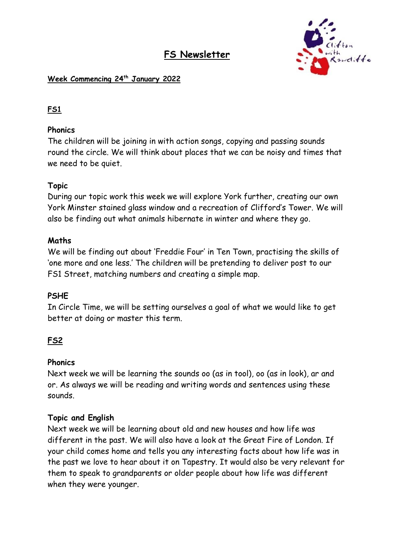# **FS Newsletter**



### **Week Commencing 24th January 2022**

# **FS1**

### **Phonics**

The children will be joining in with action songs, copying and passing sounds round the circle. We will think about places that we can be noisy and times that we need to be quiet.

### **Topic**

During our topic work this week we will explore York further, creating our own York Minster stained glass window and a recreation of Clifford's Tower. We will also be finding out what animals hibernate in winter and where they go.

### **Maths**

We will be finding out about 'Freddie Four' in Ten Town, practising the skills of 'one more and one less.' The children will be pretending to deliver post to our FS1 Street, matching numbers and creating a simple map.

### **PSHE**

In Circle Time, we will be setting ourselves a goal of what we would like to get better at doing or master this term.

# **FS2**

### **Phonics**

Next week we will be learning the sounds oo (as in tool), oo (as in look), ar and or. As always we will be reading and writing words and sentences using these sounds.

### **Topic and English**

Next week we will be learning about old and new houses and how life was different in the past. We will also have a look at the Great Fire of London. If your child comes home and tells you any interesting facts about how life was in the past we love to hear about it on Tapestry. It would also be very relevant for them to speak to grandparents or older people about how life was different when they were younger.